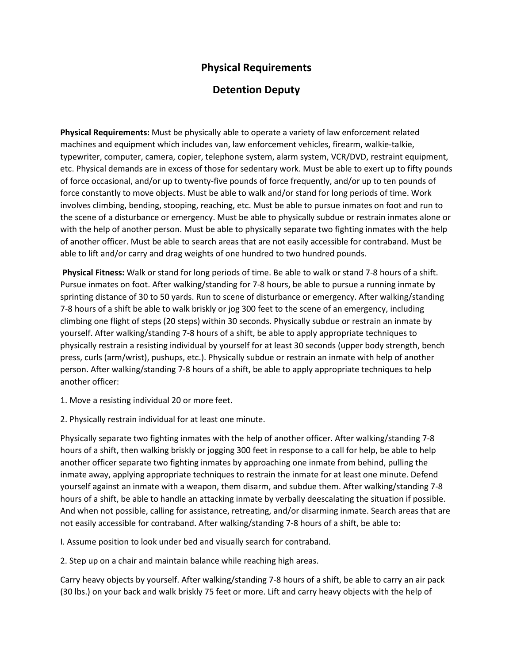## **Physical Requirements**

## **Detention Deputy**

**Physical Requirements:** Must be physically able to operate a variety of law enforcement related machines and equipment which includes van, law enforcement vehicles, firearm, walkie-talkie, typewriter, computer, camera, copier, telephone system, alarm system, VCR/DVD, restraint equipment, etc. Physical demands are in excess of those for sedentary work. Must be able to exert up to fifty pounds of force occasional, and/or up to twenty-five pounds of force frequently, and/or up to ten pounds of force constantly to move objects. Must be able to walk and/or stand for long periods of time. Work involves climbing, bending, stooping, reaching, etc. Must be able to pursue inmates on foot and run to the scene of a disturbance or emergency. Must be able to physically subdue or restrain inmates alone or with the help of another person. Must be able to physically separate two fighting inmates with the help of another officer. Must be able to search areas that are not easily accessible for contraband. Must be able to lift and/or carry and drag weights of one hundred to two hundred pounds.

**Physical Fitness:** Walk or stand for long periods of time. Be able to walk or stand 7-8 hours of a shift. Pursue inmates on foot. After walking/standing for 7-8 hours, be able to pursue a running inmate by sprinting distance of 30 to 50 yards. Run to scene of disturbance or emergency. After walking/standing 7-8 hours of a shift be able to walk briskly or jog 300 feet to the scene of an emergency, including climbing one flight of steps (20 steps) within 30 seconds. Physically subdue or restrain an inmate by yourself. After walking/standing 7-8 hours of a shift, be able to apply appropriate techniques to physically restrain a resisting individual by yourself for at least 30 seconds (upper body strength, bench press, curls (arm/wrist), pushups, etc.). Physically subdue or restrain an inmate with help of another person. After walking/standing 7-8 hours of a shift, be able to apply appropriate techniques to help another officer:

1. Move a resisting individual 20 or more feet.

2. Physically restrain individual for at least one minute.

Physically separate two fighting inmates with the help of another officer. After walking/standing 7-8 hours of a shift, then walking briskly or jogging 300 feet in response to a call for help, be able to help another officer separate two fighting inmates by approaching one inmate from behind, pulling the inmate away, applying appropriate techniques to restrain the inmate for at least one minute. Defend yourself against an inmate with a weapon, them disarm, and subdue them. After walking/standing 7-8 hours of a shift, be able to handle an attacking inmate by verbally deescalating the situation if possible. And when not possible, calling for assistance, retreating, and/or disarming inmate. Search areas that are not easily accessible for contraband. After walking/standing 7-8 hours of a shift, be able to:

I. Assume position to look under bed and visually search for contraband.

2. Step up on a chair and maintain balance while reaching high areas.

Carry heavy objects by yourself. After walking/standing 7-8 hours of a shift, be able to carry an air pack (30 lbs.) on your back and walk briskly 75 feet or more. Lift and carry heavy objects with the help of